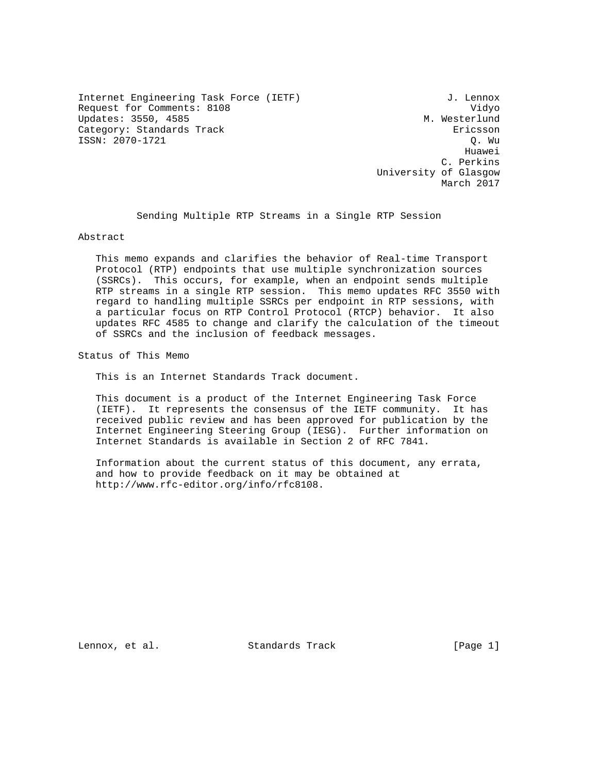Internet Engineering Task Force (IETF)  $J.$  Lennox Request for Comments: 8108 Vidyo Updates: 3550, 4585 M. Westerlund Category: Standards Track Ericsson ISSN: 2070-1721 Q. Wu

he distributed by the control of the control of the control of the control of the control of the control of the control of the control of the control of the control of the control of the control of the control of the contr C. Perkins University of Glasgow March 2017

Sending Multiple RTP Streams in a Single RTP Session

Abstract

 This memo expands and clarifies the behavior of Real-time Transport Protocol (RTP) endpoints that use multiple synchronization sources (SSRCs). This occurs, for example, when an endpoint sends multiple RTP streams in a single RTP session. This memo updates RFC 3550 with regard to handling multiple SSRCs per endpoint in RTP sessions, with a particular focus on RTP Control Protocol (RTCP) behavior. It also updates RFC 4585 to change and clarify the calculation of the timeout of SSRCs and the inclusion of feedback messages.

Status of This Memo

This is an Internet Standards Track document.

 This document is a product of the Internet Engineering Task Force (IETF). It represents the consensus of the IETF community. It has received public review and has been approved for publication by the Internet Engineering Steering Group (IESG). Further information on Internet Standards is available in Section 2 of RFC 7841.

 Information about the current status of this document, any errata, and how to provide feedback on it may be obtained at http://www.rfc-editor.org/info/rfc8108.

Lennox, et al. Standards Track [Page 1]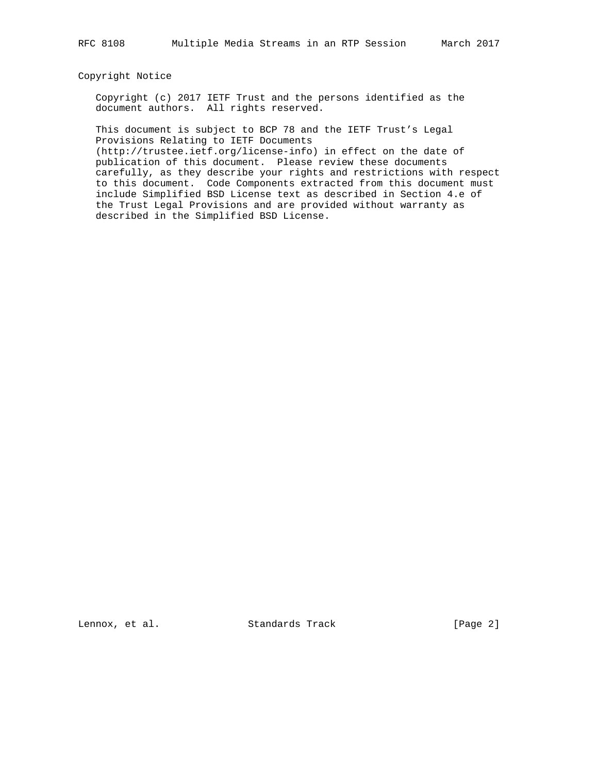#### Copyright Notice

 Copyright (c) 2017 IETF Trust and the persons identified as the document authors. All rights reserved.

 This document is subject to BCP 78 and the IETF Trust's Legal Provisions Relating to IETF Documents

 (http://trustee.ietf.org/license-info) in effect on the date of publication of this document. Please review these documents carefully, as they describe your rights and restrictions with respect to this document. Code Components extracted from this document must include Simplified BSD License text as described in Section 4.e of the Trust Legal Provisions and are provided without warranty as described in the Simplified BSD License.

Lennox, et al. Standards Track [Page 2]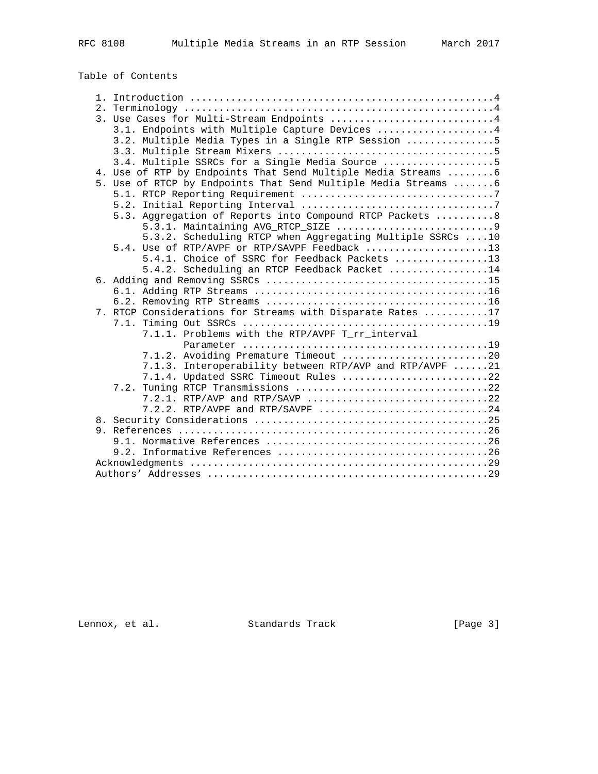# Table of Contents

|  | 3. Use Cases for Multi-Stream Endpoints 4                       |
|--|-----------------------------------------------------------------|
|  | 3.1. Endpoints with Multiple Capture Devices 4                  |
|  | 3.2. Multiple Media Types in a Single RTP Session 5             |
|  |                                                                 |
|  | 3.4. Multiple SSRCs for a Single Media Source 5                 |
|  | 4. Use of RTP by Endpoints That Send Multiple Media Streams  6  |
|  | 5. Use of RTCP by Endpoints That Send Multiple Media Streams  6 |
|  |                                                                 |
|  |                                                                 |
|  | 5.3. Aggregation of Reports into Compound RTCP Packets  8       |
|  |                                                                 |
|  | 5.3.2. Scheduling RTCP when Aggregating Multiple SSRCs 10       |
|  | 5.4. Use of RTP/AVPF or RTP/SAVPF Feedback 13                   |
|  | 5.4.1. Choice of SSRC for Feedback Packets 13                   |
|  | 5.4.2. Scheduling an RTCP Feedback Packet 14                    |
|  |                                                                 |
|  |                                                                 |
|  |                                                                 |
|  | 7. RTCP Considerations for Streams with Disparate Rates 17      |
|  |                                                                 |
|  | 7.1.1. Problems with the RTP/AVPF T_rr_interval                 |
|  |                                                                 |
|  | 7.1.2. Avoiding Premature Timeout 20                            |
|  | 7.1.3. Interoperability between RTP/AVP and RTP/AVPF 21         |
|  | 7.1.4. Updated SSRC Timeout Rules 22                            |
|  |                                                                 |
|  |                                                                 |
|  | 7.2.2. RTP/AVPF and RTP/SAVPF 24                                |
|  |                                                                 |
|  |                                                                 |
|  |                                                                 |
|  |                                                                 |
|  |                                                                 |
|  |                                                                 |

Lennox, et al. Standards Track [Page 3]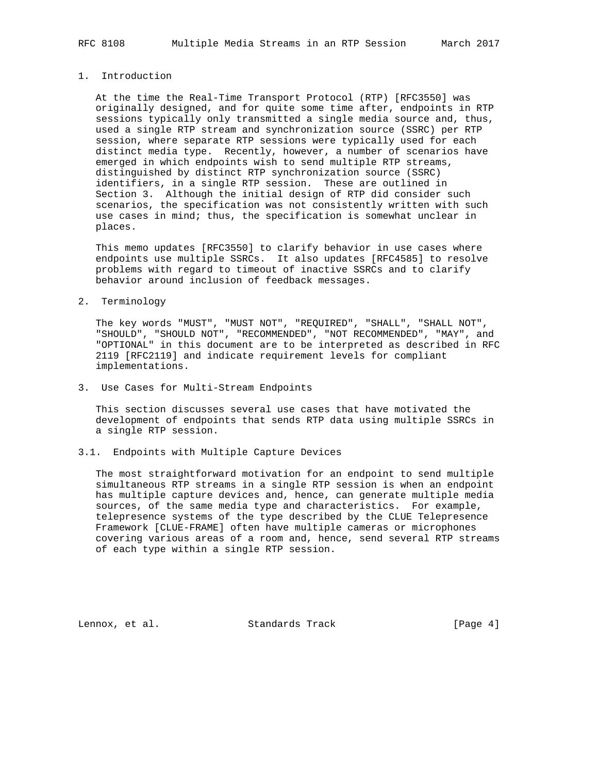#### 1. Introduction

 At the time the Real-Time Transport Protocol (RTP) [RFC3550] was originally designed, and for quite some time after, endpoints in RTP sessions typically only transmitted a single media source and, thus, used a single RTP stream and synchronization source (SSRC) per RTP session, where separate RTP sessions were typically used for each distinct media type. Recently, however, a number of scenarios have emerged in which endpoints wish to send multiple RTP streams, distinguished by distinct RTP synchronization source (SSRC) identifiers, in a single RTP session. These are outlined in Section 3. Although the initial design of RTP did consider such scenarios, the specification was not consistently written with such use cases in mind; thus, the specification is somewhat unclear in places.

 This memo updates [RFC3550] to clarify behavior in use cases where endpoints use multiple SSRCs. It also updates [RFC4585] to resolve problems with regard to timeout of inactive SSRCs and to clarify behavior around inclusion of feedback messages.

#### 2. Terminology

 The key words "MUST", "MUST NOT", "REQUIRED", "SHALL", "SHALL NOT", "SHOULD", "SHOULD NOT", "RECOMMENDED", "NOT RECOMMENDED", "MAY", and "OPTIONAL" in this document are to be interpreted as described in RFC 2119 [RFC2119] and indicate requirement levels for compliant implementations.

3. Use Cases for Multi-Stream Endpoints

 This section discusses several use cases that have motivated the development of endpoints that sends RTP data using multiple SSRCs in a single RTP session.

3.1. Endpoints with Multiple Capture Devices

 The most straightforward motivation for an endpoint to send multiple simultaneous RTP streams in a single RTP session is when an endpoint has multiple capture devices and, hence, can generate multiple media sources, of the same media type and characteristics. For example, telepresence systems of the type described by the CLUE Telepresence Framework [CLUE-FRAME] often have multiple cameras or microphones covering various areas of a room and, hence, send several RTP streams of each type within a single RTP session.

Lennox, et al. Standards Track [Page 4]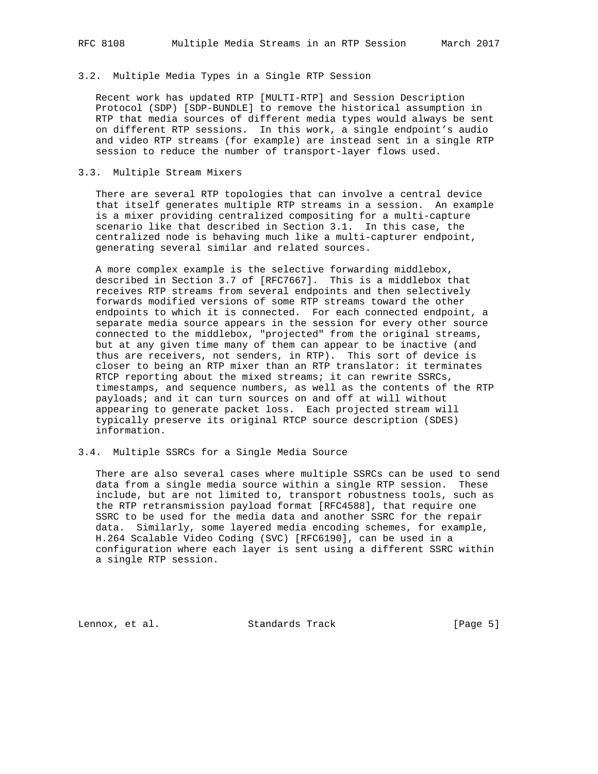## 3.2. Multiple Media Types in a Single RTP Session

 Recent work has updated RTP [MULTI-RTP] and Session Description Protocol (SDP) [SDP-BUNDLE] to remove the historical assumption in RTP that media sources of different media types would always be sent on different RTP sessions. In this work, a single endpoint's audio and video RTP streams (for example) are instead sent in a single RTP session to reduce the number of transport-layer flows used.

#### 3.3. Multiple Stream Mixers

 There are several RTP topologies that can involve a central device that itself generates multiple RTP streams in a session. An example is a mixer providing centralized compositing for a multi-capture scenario like that described in Section 3.1. In this case, the centralized node is behaving much like a multi-capturer endpoint, generating several similar and related sources.

 A more complex example is the selective forwarding middlebox, described in Section 3.7 of [RFC7667]. This is a middlebox that receives RTP streams from several endpoints and then selectively forwards modified versions of some RTP streams toward the other endpoints to which it is connected. For each connected endpoint, a separate media source appears in the session for every other source connected to the middlebox, "projected" from the original streams, but at any given time many of them can appear to be inactive (and thus are receivers, not senders, in RTP). This sort of device is closer to being an RTP mixer than an RTP translator: it terminates RTCP reporting about the mixed streams; it can rewrite SSRCs, timestamps, and sequence numbers, as well as the contents of the RTP payloads; and it can turn sources on and off at will without appearing to generate packet loss. Each projected stream will typically preserve its original RTCP source description (SDES) information.

## 3.4. Multiple SSRCs for a Single Media Source

 There are also several cases where multiple SSRCs can be used to send data from a single media source within a single RTP session. These include, but are not limited to, transport robustness tools, such as the RTP retransmission payload format [RFC4588], that require one SSRC to be used for the media data and another SSRC for the repair data. Similarly, some layered media encoding schemes, for example, H.264 Scalable Video Coding (SVC) [RFC6190], can be used in a configuration where each layer is sent using a different SSRC within a single RTP session.

Lennox, et al. Standards Track [Page 5]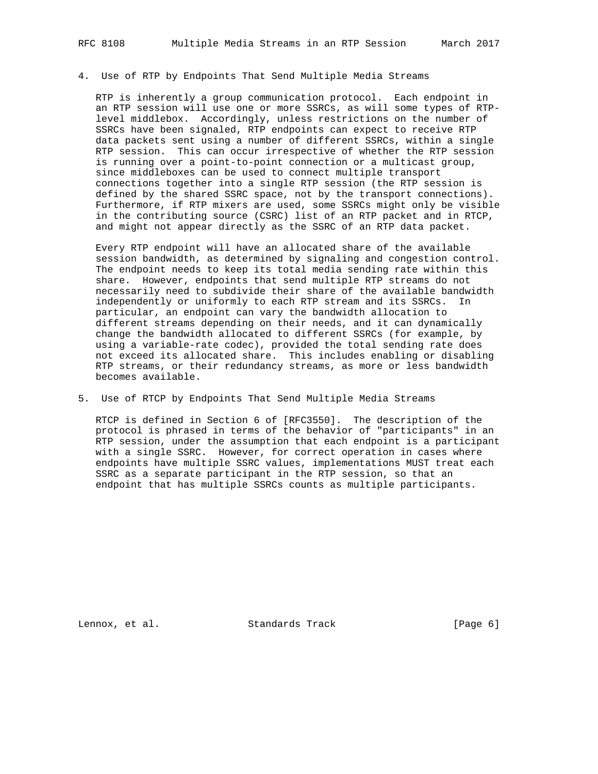#### 4. Use of RTP by Endpoints That Send Multiple Media Streams

 RTP is inherently a group communication protocol. Each endpoint in an RTP session will use one or more SSRCs, as will some types of RTP level middlebox. Accordingly, unless restrictions on the number of SSRCs have been signaled, RTP endpoints can expect to receive RTP data packets sent using a number of different SSRCs, within a single RTP session. This can occur irrespective of whether the RTP session is running over a point-to-point connection or a multicast group, since middleboxes can be used to connect multiple transport connections together into a single RTP session (the RTP session is defined by the shared SSRC space, not by the transport connections). Furthermore, if RTP mixers are used, some SSRCs might only be visible in the contributing source (CSRC) list of an RTP packet and in RTCP, and might not appear directly as the SSRC of an RTP data packet.

 Every RTP endpoint will have an allocated share of the available session bandwidth, as determined by signaling and congestion control. The endpoint needs to keep its total media sending rate within this share. However, endpoints that send multiple RTP streams do not necessarily need to subdivide their share of the available bandwidth independently or uniformly to each RTP stream and its SSRCs. In particular, an endpoint can vary the bandwidth allocation to different streams depending on their needs, and it can dynamically change the bandwidth allocated to different SSRCs (for example, by using a variable-rate codec), provided the total sending rate does not exceed its allocated share. This includes enabling or disabling RTP streams, or their redundancy streams, as more or less bandwidth becomes available.

#### 5. Use of RTCP by Endpoints That Send Multiple Media Streams

 RTCP is defined in Section 6 of [RFC3550]. The description of the protocol is phrased in terms of the behavior of "participants" in an RTP session, under the assumption that each endpoint is a participant with a single SSRC. However, for correct operation in cases where endpoints have multiple SSRC values, implementations MUST treat each SSRC as a separate participant in the RTP session, so that an endpoint that has multiple SSRCs counts as multiple participants.

Lennox, et al. Standards Track [Page 6]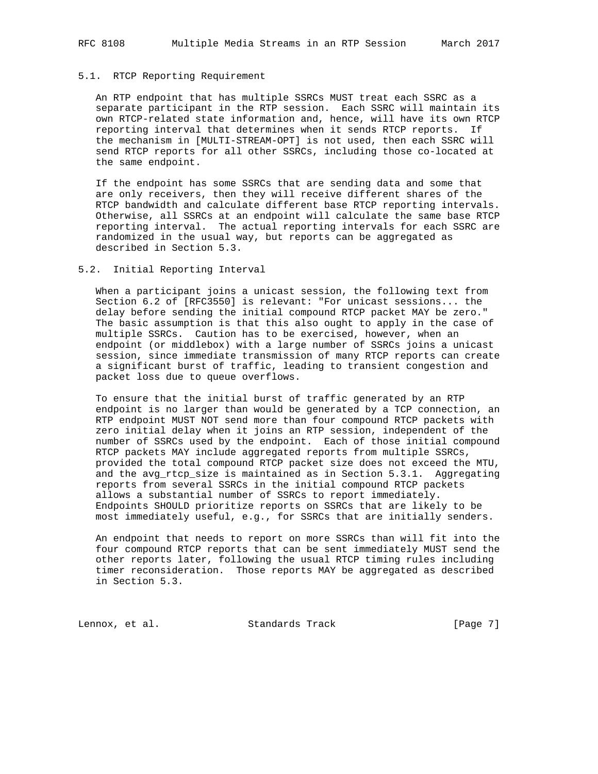## 5.1. RTCP Reporting Requirement

 An RTP endpoint that has multiple SSRCs MUST treat each SSRC as a separate participant in the RTP session. Each SSRC will maintain its own RTCP-related state information and, hence, will have its own RTCP reporting interval that determines when it sends RTCP reports. If the mechanism in [MULTI-STREAM-OPT] is not used, then each SSRC will send RTCP reports for all other SSRCs, including those co-located at the same endpoint.

 If the endpoint has some SSRCs that are sending data and some that are only receivers, then they will receive different shares of the RTCP bandwidth and calculate different base RTCP reporting intervals. Otherwise, all SSRCs at an endpoint will calculate the same base RTCP reporting interval. The actual reporting intervals for each SSRC are randomized in the usual way, but reports can be aggregated as described in Section 5.3.

## 5.2. Initial Reporting Interval

 When a participant joins a unicast session, the following text from Section 6.2 of [RFC3550] is relevant: "For unicast sessions... the delay before sending the initial compound RTCP packet MAY be zero." The basic assumption is that this also ought to apply in the case of multiple SSRCs. Caution has to be exercised, however, when an endpoint (or middlebox) with a large number of SSRCs joins a unicast session, since immediate transmission of many RTCP reports can create a significant burst of traffic, leading to transient congestion and packet loss due to queue overflows.

 To ensure that the initial burst of traffic generated by an RTP endpoint is no larger than would be generated by a TCP connection, an RTP endpoint MUST NOT send more than four compound RTCP packets with zero initial delay when it joins an RTP session, independent of the number of SSRCs used by the endpoint. Each of those initial compound RTCP packets MAY include aggregated reports from multiple SSRCs, provided the total compound RTCP packet size does not exceed the MTU, and the avg\_rtcp\_size is maintained as in Section 5.3.1. Aggregating reports from several SSRCs in the initial compound RTCP packets allows a substantial number of SSRCs to report immediately. Endpoints SHOULD prioritize reports on SSRCs that are likely to be most immediately useful, e.g., for SSRCs that are initially senders.

 An endpoint that needs to report on more SSRCs than will fit into the four compound RTCP reports that can be sent immediately MUST send the other reports later, following the usual RTCP timing rules including timer reconsideration. Those reports MAY be aggregated as described in Section 5.3.

Lennox, et al. Standards Track [Page 7]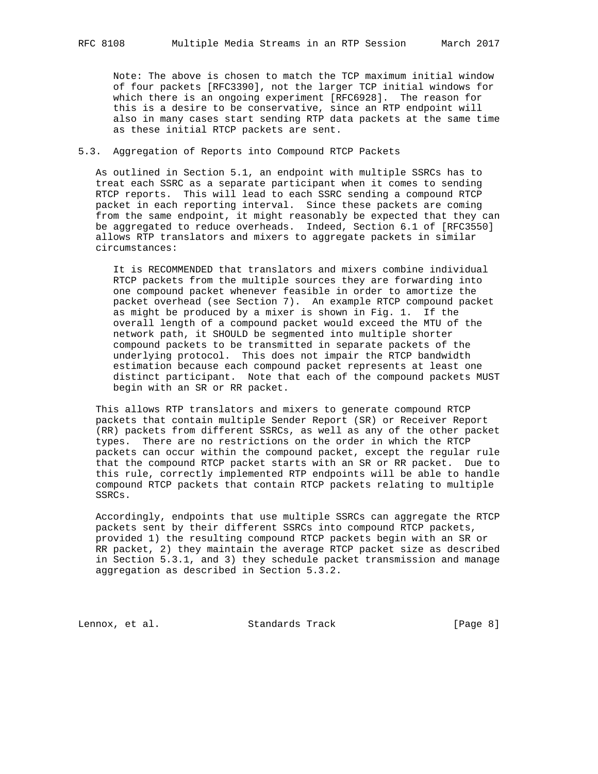Note: The above is chosen to match the TCP maximum initial window of four packets [RFC3390], not the larger TCP initial windows for which there is an ongoing experiment [RFC6928]. The reason for this is a desire to be conservative, since an RTP endpoint will also in many cases start sending RTP data packets at the same time as these initial RTCP packets are sent.

#### 5.3. Aggregation of Reports into Compound RTCP Packets

 As outlined in Section 5.1, an endpoint with multiple SSRCs has to treat each SSRC as a separate participant when it comes to sending RTCP reports. This will lead to each SSRC sending a compound RTCP packet in each reporting interval. Since these packets are coming from the same endpoint, it might reasonably be expected that they can be aggregated to reduce overheads. Indeed, Section 6.1 of [RFC3550] allows RTP translators and mixers to aggregate packets in similar circumstances:

 It is RECOMMENDED that translators and mixers combine individual RTCP packets from the multiple sources they are forwarding into one compound packet whenever feasible in order to amortize the packet overhead (see Section 7). An example RTCP compound packet as might be produced by a mixer is shown in Fig. 1. If the overall length of a compound packet would exceed the MTU of the network path, it SHOULD be segmented into multiple shorter compound packets to be transmitted in separate packets of the underlying protocol. This does not impair the RTCP bandwidth estimation because each compound packet represents at least one distinct participant. Note that each of the compound packets MUST begin with an SR or RR packet.

 This allows RTP translators and mixers to generate compound RTCP packets that contain multiple Sender Report (SR) or Receiver Report (RR) packets from different SSRCs, as well as any of the other packet types. There are no restrictions on the order in which the RTCP packets can occur within the compound packet, except the regular rule that the compound RTCP packet starts with an SR or RR packet. Due to this rule, correctly implemented RTP endpoints will be able to handle compound RTCP packets that contain RTCP packets relating to multiple SSRCs.

 Accordingly, endpoints that use multiple SSRCs can aggregate the RTCP packets sent by their different SSRCs into compound RTCP packets, provided 1) the resulting compound RTCP packets begin with an SR or RR packet, 2) they maintain the average RTCP packet size as described in Section 5.3.1, and 3) they schedule packet transmission and manage aggregation as described in Section 5.3.2.

Lennox, et al. Standards Track [Page 8]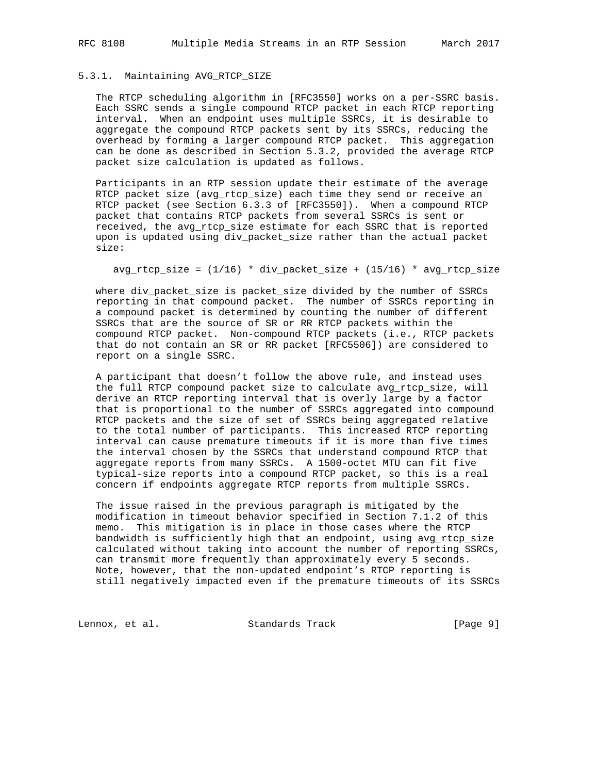## 5.3.1. Maintaining AVG\_RTCP\_SIZE

 The RTCP scheduling algorithm in [RFC3550] works on a per-SSRC basis. Each SSRC sends a single compound RTCP packet in each RTCP reporting interval. When an endpoint uses multiple SSRCs, it is desirable to aggregate the compound RTCP packets sent by its SSRCs, reducing the overhead by forming a larger compound RTCP packet. This aggregation can be done as described in Section 5.3.2, provided the average RTCP packet size calculation is updated as follows.

 Participants in an RTP session update their estimate of the average RTCP packet size (avg\_rtcp\_size) each time they send or receive an RTCP packet (see Section 6.3.3 of [RFC3550]). When a compound RTCP packet that contains RTCP packets from several SSRCs is sent or received, the avg\_rtcp\_size estimate for each SSRC that is reported upon is updated using div\_packet\_size rather than the actual packet size:

 $avg\_rtcp\_size = (1/16) * div\_packet\_size + (15/16) * avg\_rtcp\_size$ 

 where div\_packet\_size is packet\_size divided by the number of SSRCs reporting in that compound packet. The number of SSRCs reporting in a compound packet is determined by counting the number of different SSRCs that are the source of SR or RR RTCP packets within the compound RTCP packet. Non-compound RTCP packets (i.e., RTCP packets that do not contain an SR or RR packet [RFC5506]) are considered to report on a single SSRC.

 A participant that doesn't follow the above rule, and instead uses the full RTCP compound packet size to calculate avg\_rtcp\_size, will derive an RTCP reporting interval that is overly large by a factor that is proportional to the number of SSRCs aggregated into compound RTCP packets and the size of set of SSRCs being aggregated relative to the total number of participants. This increased RTCP reporting interval can cause premature timeouts if it is more than five times the interval chosen by the SSRCs that understand compound RTCP that aggregate reports from many SSRCs. A 1500-octet MTU can fit five typical-size reports into a compound RTCP packet, so this is a real concern if endpoints aggregate RTCP reports from multiple SSRCs.

 The issue raised in the previous paragraph is mitigated by the modification in timeout behavior specified in Section 7.1.2 of this memo. This mitigation is in place in those cases where the RTCP bandwidth is sufficiently high that an endpoint, using avg\_rtcp\_size calculated without taking into account the number of reporting SSRCs, can transmit more frequently than approximately every 5 seconds. Note, however, that the non-updated endpoint's RTCP reporting is still negatively impacted even if the premature timeouts of its SSRCs

Lennox, et al. Standards Track [Page 9]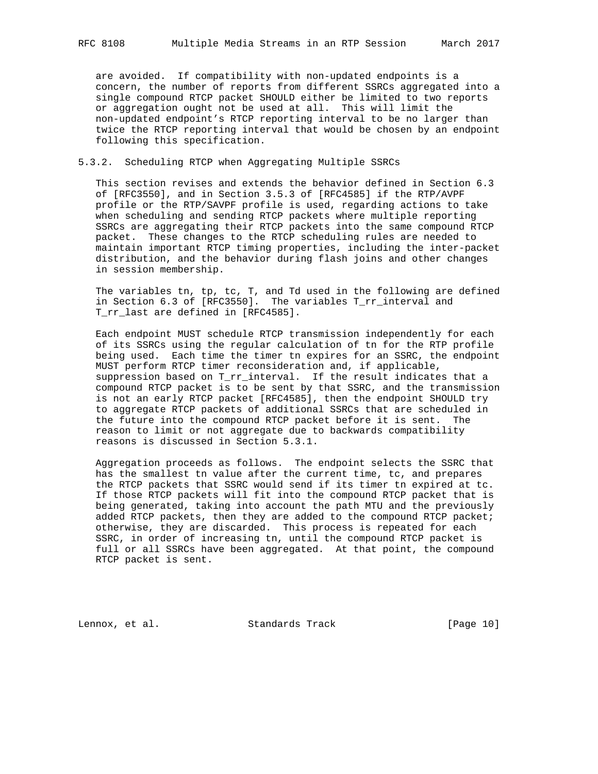are avoided. If compatibility with non-updated endpoints is a concern, the number of reports from different SSRCs aggregated into a single compound RTCP packet SHOULD either be limited to two reports or aggregation ought not be used at all. This will limit the non-updated endpoint's RTCP reporting interval to be no larger than twice the RTCP reporting interval that would be chosen by an endpoint following this specification.

#### 5.3.2. Scheduling RTCP when Aggregating Multiple SSRCs

 This section revises and extends the behavior defined in Section 6.3 of [RFC3550], and in Section 3.5.3 of [RFC4585] if the RTP/AVPF profile or the RTP/SAVPF profile is used, regarding actions to take when scheduling and sending RTCP packets where multiple reporting SSRCs are aggregating their RTCP packets into the same compound RTCP packet. These changes to the RTCP scheduling rules are needed to maintain important RTCP timing properties, including the inter-packet distribution, and the behavior during flash joins and other changes in session membership.

 The variables tn, tp, tc, T, and Td used in the following are defined in Section 6.3 of [RFC3550]. The variables T\_rr\_interval and T\_rr\_last are defined in [RFC4585].

 Each endpoint MUST schedule RTCP transmission independently for each of its SSRCs using the regular calculation of tn for the RTP profile being used. Each time the timer tn expires for an SSRC, the endpoint MUST perform RTCP timer reconsideration and, if applicable, suppression based on T\_rr\_interval. If the result indicates that a compound RTCP packet is to be sent by that SSRC, and the transmission is not an early RTCP packet [RFC4585], then the endpoint SHOULD try to aggregate RTCP packets of additional SSRCs that are scheduled in the future into the compound RTCP packet before it is sent. The reason to limit or not aggregate due to backwards compatibility reasons is discussed in Section 5.3.1.

 Aggregation proceeds as follows. The endpoint selects the SSRC that has the smallest tn value after the current time, tc, and prepares the RTCP packets that SSRC would send if its timer tn expired at tc. If those RTCP packets will fit into the compound RTCP packet that is being generated, taking into account the path MTU and the previously added RTCP packets, then they are added to the compound RTCP packet; otherwise, they are discarded. This process is repeated for each SSRC, in order of increasing tn, until the compound RTCP packet is full or all SSRCs have been aggregated. At that point, the compound RTCP packet is sent.

Lennox, et al. Standards Track [Page 10]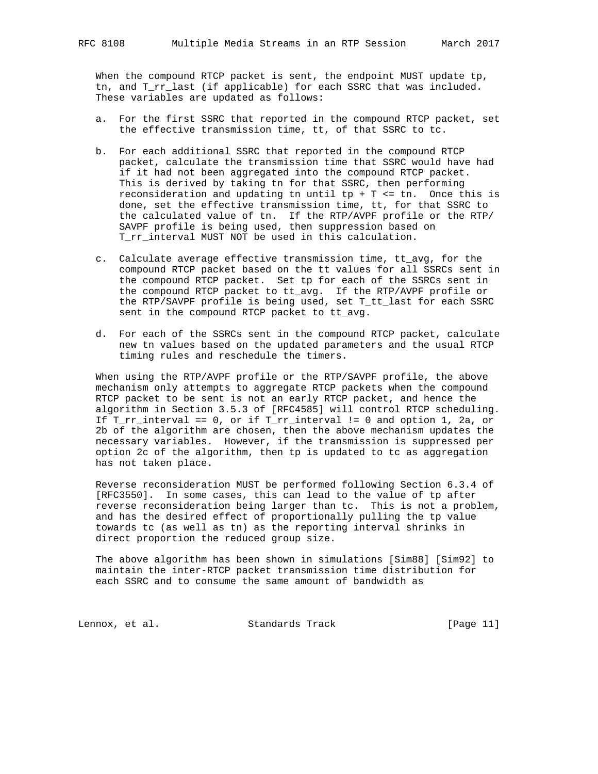When the compound RTCP packet is sent, the endpoint MUST update tp, tn, and T\_rr\_last (if applicable) for each SSRC that was included. These variables are updated as follows:

- a. For the first SSRC that reported in the compound RTCP packet, set the effective transmission time, tt, of that SSRC to tc.
- b. For each additional SSRC that reported in the compound RTCP packet, calculate the transmission time that SSRC would have had if it had not been aggregated into the compound RTCP packet. This is derived by taking tn for that SSRC, then performing reconsideration and updating tn until tp + T <= tn. Once this is done, set the effective transmission time, tt, for that SSRC to the calculated value of tn. If the RTP/AVPF profile or the RTP/ SAVPF profile is being used, then suppression based on T\_rr\_interval MUST NOT be used in this calculation.
	- c. Calculate average effective transmission time, tt\_avg, for the compound RTCP packet based on the tt values for all SSRCs sent in the compound RTCP packet. Set tp for each of the SSRCs sent in the compound RTCP packet to tt\_avg. If the RTP/AVPF profile or the RTP/SAVPF profile is being used, set T\_tt\_last for each SSRC sent in the compound RTCP packet to tt\_avg.
	- d. For each of the SSRCs sent in the compound RTCP packet, calculate new tn values based on the updated parameters and the usual RTCP timing rules and reschedule the timers.

 When using the RTP/AVPF profile or the RTP/SAVPF profile, the above mechanism only attempts to aggregate RTCP packets when the compound RTCP packet to be sent is not an early RTCP packet, and hence the algorithm in Section 3.5.3 of [RFC4585] will control RTCP scheduling. If  $T_r$ rr\_interval == 0, or if  $T_r$ rr\_interval != 0 and option 1, 2a, or 2b of the algorithm are chosen, then the above mechanism updates the necessary variables. However, if the transmission is suppressed per option 2c of the algorithm, then tp is updated to tc as aggregation has not taken place.

 Reverse reconsideration MUST be performed following Section 6.3.4 of [RFC3550]. In some cases, this can lead to the value of tp after reverse reconsideration being larger than tc. This is not a problem, and has the desired effect of proportionally pulling the tp value towards tc (as well as tn) as the reporting interval shrinks in direct proportion the reduced group size.

 The above algorithm has been shown in simulations [Sim88] [Sim92] to maintain the inter-RTCP packet transmission time distribution for each SSRC and to consume the same amount of bandwidth as

Lennox, et al. Standards Track [Page 11]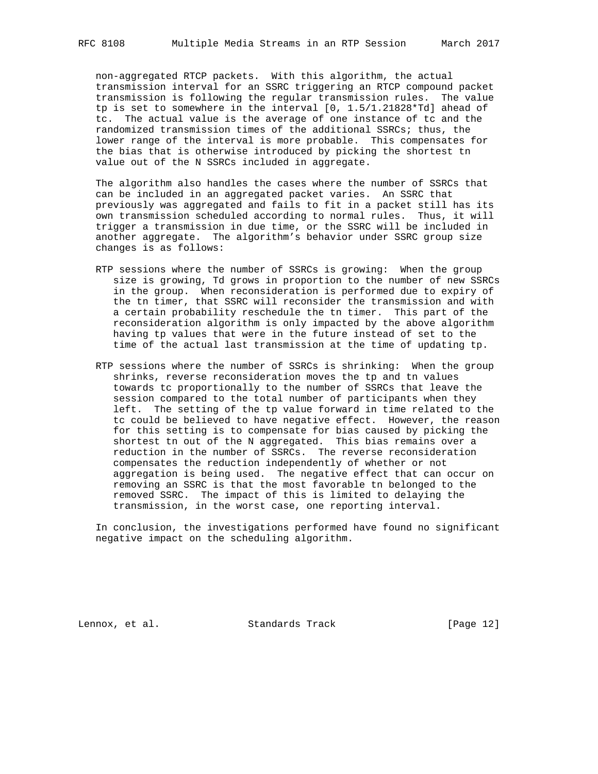non-aggregated RTCP packets. With this algorithm, the actual transmission interval for an SSRC triggering an RTCP compound packet transmission is following the regular transmission rules. The value tp is set to somewhere in the interval [0, 1.5/1.21828\*Td] ahead of tc. The actual value is the average of one instance of tc and the randomized transmission times of the additional SSRCs; thus, the lower range of the interval is more probable. This compensates for the bias that is otherwise introduced by picking the shortest tn value out of the N SSRCs included in aggregate.

 The algorithm also handles the cases where the number of SSRCs that can be included in an aggregated packet varies. An SSRC that previously was aggregated and fails to fit in a packet still has its own transmission scheduled according to normal rules. Thus, it will trigger a transmission in due time, or the SSRC will be included in another aggregate. The algorithm's behavior under SSRC group size changes is as follows:

- RTP sessions where the number of SSRCs is growing: When the group size is growing, Td grows in proportion to the number of new SSRCs in the group. When reconsideration is performed due to expiry of the tn timer, that SSRC will reconsider the transmission and with a certain probability reschedule the tn timer. This part of the reconsideration algorithm is only impacted by the above algorithm having tp values that were in the future instead of set to the time of the actual last transmission at the time of updating tp.
- RTP sessions where the number of SSRCs is shrinking: When the group shrinks, reverse reconsideration moves the tp and tn values towards tc proportionally to the number of SSRCs that leave the session compared to the total number of participants when they left. The setting of the tp value forward in time related to the tc could be believed to have negative effect. However, the reason for this setting is to compensate for bias caused by picking the shortest tn out of the N aggregated. This bias remains over a reduction in the number of SSRCs. The reverse reconsideration compensates the reduction independently of whether or not aggregation is being used. The negative effect that can occur on removing an SSRC is that the most favorable tn belonged to the removed SSRC. The impact of this is limited to delaying the transmission, in the worst case, one reporting interval.

 In conclusion, the investigations performed have found no significant negative impact on the scheduling algorithm.

Lennox, et al. Standards Track [Page 12]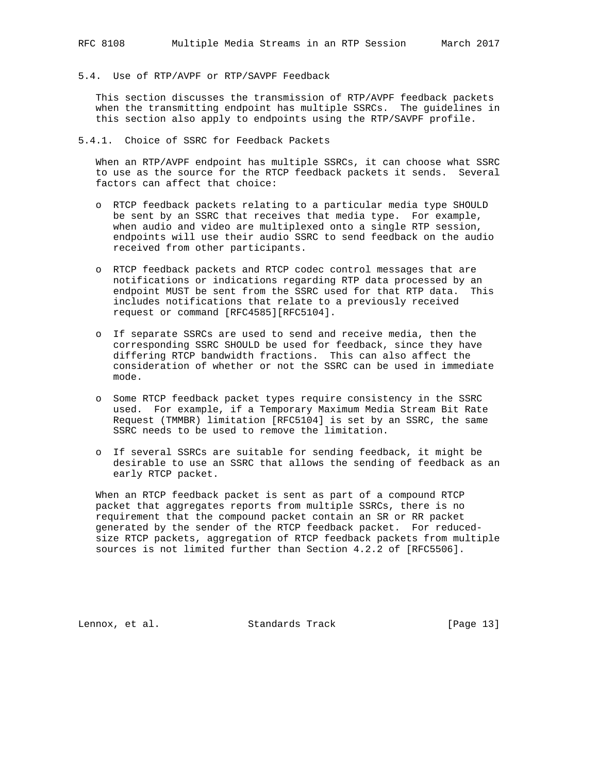5.4. Use of RTP/AVPF or RTP/SAVPF Feedback

 This section discusses the transmission of RTP/AVPF feedback packets when the transmitting endpoint has multiple SSRCs. The guidelines in this section also apply to endpoints using the RTP/SAVPF profile.

5.4.1. Choice of SSRC for Feedback Packets

 When an RTP/AVPF endpoint has multiple SSRCs, it can choose what SSRC to use as the source for the RTCP feedback packets it sends. Several factors can affect that choice:

- o RTCP feedback packets relating to a particular media type SHOULD be sent by an SSRC that receives that media type. For example, when audio and video are multiplexed onto a single RTP session, endpoints will use their audio SSRC to send feedback on the audio received from other participants.
- o RTCP feedback packets and RTCP codec control messages that are notifications or indications regarding RTP data processed by an endpoint MUST be sent from the SSRC used for that RTP data. This includes notifications that relate to a previously received request or command [RFC4585][RFC5104].
- o If separate SSRCs are used to send and receive media, then the corresponding SSRC SHOULD be used for feedback, since they have differing RTCP bandwidth fractions. This can also affect the consideration of whether or not the SSRC can be used in immediate mode.
- o Some RTCP feedback packet types require consistency in the SSRC used. For example, if a Temporary Maximum Media Stream Bit Rate Request (TMMBR) limitation [RFC5104] is set by an SSRC, the same SSRC needs to be used to remove the limitation.
- o If several SSRCs are suitable for sending feedback, it might be desirable to use an SSRC that allows the sending of feedback as an early RTCP packet.

 When an RTCP feedback packet is sent as part of a compound RTCP packet that aggregates reports from multiple SSRCs, there is no requirement that the compound packet contain an SR or RR packet generated by the sender of the RTCP feedback packet. For reduced size RTCP packets, aggregation of RTCP feedback packets from multiple sources is not limited further than Section 4.2.2 of [RFC5506].

Lennox, et al. Standards Track [Page 13]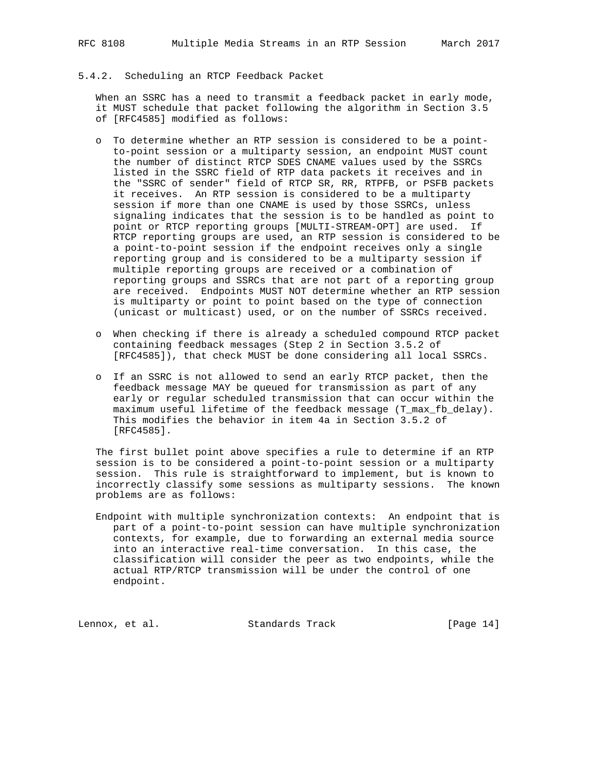## 5.4.2. Scheduling an RTCP Feedback Packet

 When an SSRC has a need to transmit a feedback packet in early mode, it MUST schedule that packet following the algorithm in Section 3.5 of [RFC4585] modified as follows:

- o To determine whether an RTP session is considered to be a point to-point session or a multiparty session, an endpoint MUST count the number of distinct RTCP SDES CNAME values used by the SSRCs listed in the SSRC field of RTP data packets it receives and in the "SSRC of sender" field of RTCP SR, RR, RTPFB, or PSFB packets it receives. An RTP session is considered to be a multiparty session if more than one CNAME is used by those SSRCs, unless signaling indicates that the session is to be handled as point to point or RTCP reporting groups [MULTI-STREAM-OPT] are used. If RTCP reporting groups are used, an RTP session is considered to be a point-to-point session if the endpoint receives only a single reporting group and is considered to be a multiparty session if multiple reporting groups are received or a combination of reporting groups and SSRCs that are not part of a reporting group are received. Endpoints MUST NOT determine whether an RTP session is multiparty or point to point based on the type of connection (unicast or multicast) used, or on the number of SSRCs received.
- o When checking if there is already a scheduled compound RTCP packet containing feedback messages (Step 2 in Section 3.5.2 of [RFC4585]), that check MUST be done considering all local SSRCs.
- o If an SSRC is not allowed to send an early RTCP packet, then the feedback message MAY be queued for transmission as part of any early or regular scheduled transmission that can occur within the maximum useful lifetime of the feedback message (T\_max\_fb\_delay). This modifies the behavior in item 4a in Section 3.5.2 of [RFC4585].

 The first bullet point above specifies a rule to determine if an RTP session is to be considered a point-to-point session or a multiparty session. This rule is straightforward to implement, but is known to incorrectly classify some sessions as multiparty sessions. The known problems are as follows:

 Endpoint with multiple synchronization contexts: An endpoint that is part of a point-to-point session can have multiple synchronization contexts, for example, due to forwarding an external media source into an interactive real-time conversation. In this case, the classification will consider the peer as two endpoints, while the actual RTP/RTCP transmission will be under the control of one endpoint.

Lennox, et al. Standards Track [Page 14]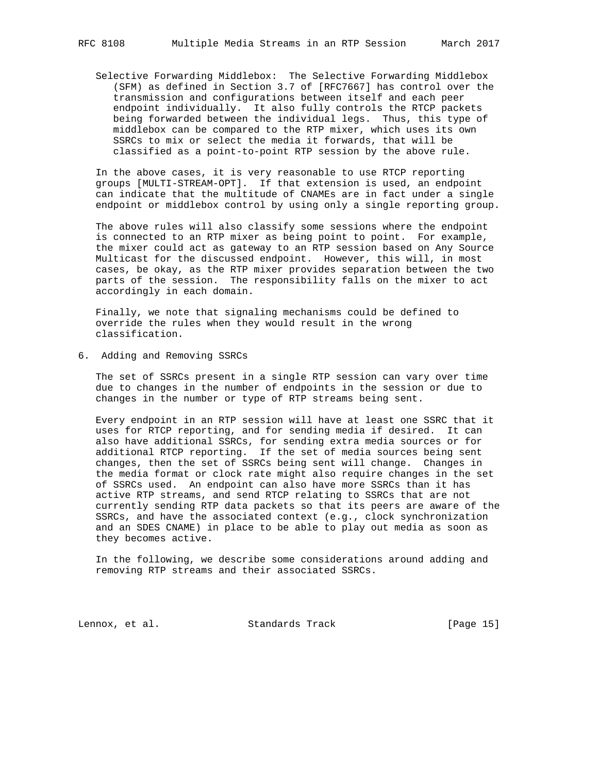Selective Forwarding Middlebox: The Selective Forwarding Middlebox (SFM) as defined in Section 3.7 of [RFC7667] has control over the transmission and configurations between itself and each peer endpoint individually. It also fully controls the RTCP packets being forwarded between the individual legs. Thus, this type of middlebox can be compared to the RTP mixer, which uses its own SSRCs to mix or select the media it forwards, that will be classified as a point-to-point RTP session by the above rule.

 In the above cases, it is very reasonable to use RTCP reporting groups [MULTI-STREAM-OPT]. If that extension is used, an endpoint can indicate that the multitude of CNAMEs are in fact under a single endpoint or middlebox control by using only a single reporting group.

 The above rules will also classify some sessions where the endpoint is connected to an RTP mixer as being point to point. For example, the mixer could act as gateway to an RTP session based on Any Source Multicast for the discussed endpoint. However, this will, in most cases, be okay, as the RTP mixer provides separation between the two parts of the session. The responsibility falls on the mixer to act accordingly in each domain.

 Finally, we note that signaling mechanisms could be defined to override the rules when they would result in the wrong classification.

6. Adding and Removing SSRCs

 The set of SSRCs present in a single RTP session can vary over time due to changes in the number of endpoints in the session or due to changes in the number or type of RTP streams being sent.

 Every endpoint in an RTP session will have at least one SSRC that it uses for RTCP reporting, and for sending media if desired. It can also have additional SSRCs, for sending extra media sources or for additional RTCP reporting. If the set of media sources being sent changes, then the set of SSRCs being sent will change. Changes in the media format or clock rate might also require changes in the set of SSRCs used. An endpoint can also have more SSRCs than it has active RTP streams, and send RTCP relating to SSRCs that are not currently sending RTP data packets so that its peers are aware of the SSRCs, and have the associated context (e.g., clock synchronization and an SDES CNAME) in place to be able to play out media as soon as they becomes active.

 In the following, we describe some considerations around adding and removing RTP streams and their associated SSRCs.

Lennox, et al. Standards Track [Page 15]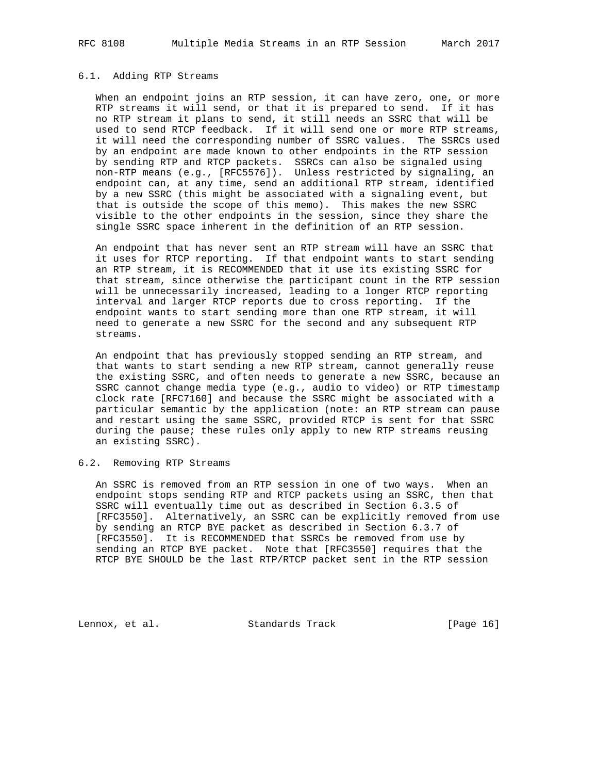## 6.1. Adding RTP Streams

 When an endpoint joins an RTP session, it can have zero, one, or more RTP streams it will send, or that it is prepared to send. If it has no RTP stream it plans to send, it still needs an SSRC that will be used to send RTCP feedback. If it will send one or more RTP streams, it will need the corresponding number of SSRC values. The SSRCs used by an endpoint are made known to other endpoints in the RTP session by sending RTP and RTCP packets. SSRCs can also be signaled using non-RTP means (e.g., [RFC5576]). Unless restricted by signaling, an endpoint can, at any time, send an additional RTP stream, identified by a new SSRC (this might be associated with a signaling event, but that is outside the scope of this memo). This makes the new SSRC visible to the other endpoints in the session, since they share the single SSRC space inherent in the definition of an RTP session.

 An endpoint that has never sent an RTP stream will have an SSRC that it uses for RTCP reporting. If that endpoint wants to start sending an RTP stream, it is RECOMMENDED that it use its existing SSRC for that stream, since otherwise the participant count in the RTP session will be unnecessarily increased, leading to a longer RTCP reporting interval and larger RTCP reports due to cross reporting. If the endpoint wants to start sending more than one RTP stream, it will need to generate a new SSRC for the second and any subsequent RTP streams.

 An endpoint that has previously stopped sending an RTP stream, and that wants to start sending a new RTP stream, cannot generally reuse the existing SSRC, and often needs to generate a new SSRC, because an SSRC cannot change media type (e.g., audio to video) or RTP timestamp clock rate [RFC7160] and because the SSRC might be associated with a particular semantic by the application (note: an RTP stream can pause and restart using the same SSRC, provided RTCP is sent for that SSRC during the pause; these rules only apply to new RTP streams reusing an existing SSRC).

#### 6.2. Removing RTP Streams

 An SSRC is removed from an RTP session in one of two ways. When an endpoint stops sending RTP and RTCP packets using an SSRC, then that SSRC will eventually time out as described in Section 6.3.5 of [RFC3550]. Alternatively, an SSRC can be explicitly removed from use by sending an RTCP BYE packet as described in Section 6.3.7 of [RFC3550]. It is RECOMMENDED that SSRCs be removed from use by sending an RTCP BYE packet. Note that [RFC3550] requires that the RTCP BYE SHOULD be the last RTP/RTCP packet sent in the RTP session

Lennox, et al. Standards Track [Page 16]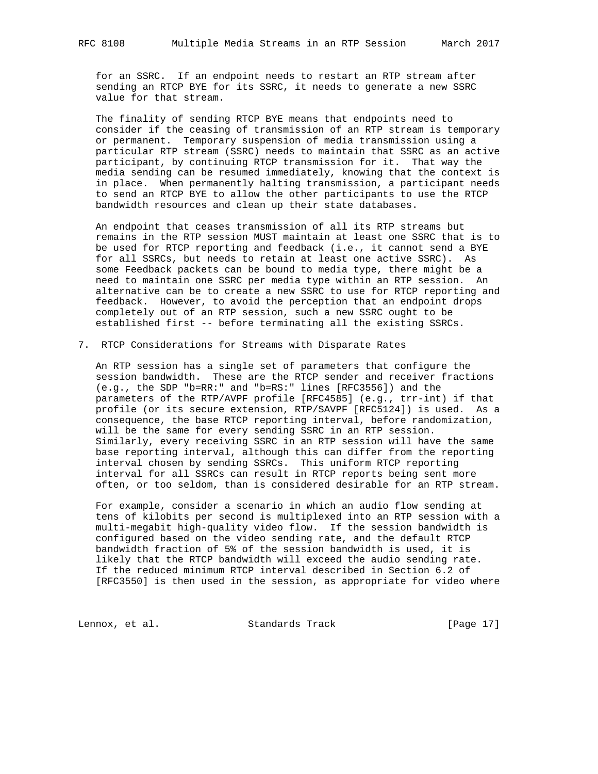for an SSRC. If an endpoint needs to restart an RTP stream after sending an RTCP BYE for its SSRC, it needs to generate a new SSRC value for that stream.

 The finality of sending RTCP BYE means that endpoints need to consider if the ceasing of transmission of an RTP stream is temporary or permanent. Temporary suspension of media transmission using a particular RTP stream (SSRC) needs to maintain that SSRC as an active participant, by continuing RTCP transmission for it. That way the media sending can be resumed immediately, knowing that the context is in place. When permanently halting transmission, a participant needs to send an RTCP BYE to allow the other participants to use the RTCP bandwidth resources and clean up their state databases.

 An endpoint that ceases transmission of all its RTP streams but remains in the RTP session MUST maintain at least one SSRC that is to be used for RTCP reporting and feedback (i.e., it cannot send a BYE for all SSRCs, but needs to retain at least one active SSRC). As some Feedback packets can be bound to media type, there might be a need to maintain one SSRC per media type within an RTP session. An alternative can be to create a new SSRC to use for RTCP reporting and feedback. However, to avoid the perception that an endpoint drops completely out of an RTP session, such a new SSRC ought to be established first -- before terminating all the existing SSRCs.

7. RTCP Considerations for Streams with Disparate Rates

 An RTP session has a single set of parameters that configure the session bandwidth. These are the RTCP sender and receiver fractions (e.g., the SDP "b=RR:" and "b=RS:" lines [RFC3556]) and the parameters of the RTP/AVPF profile [RFC4585] (e.g., trr-int) if that profile (or its secure extension, RTP/SAVPF [RFC5124]) is used. As a consequence, the base RTCP reporting interval, before randomization, will be the same for every sending SSRC in an RTP session. Similarly, every receiving SSRC in an RTP session will have the same base reporting interval, although this can differ from the reporting interval chosen by sending SSRCs. This uniform RTCP reporting interval for all SSRCs can result in RTCP reports being sent more often, or too seldom, than is considered desirable for an RTP stream.

 For example, consider a scenario in which an audio flow sending at tens of kilobits per second is multiplexed into an RTP session with a multi-megabit high-quality video flow. If the session bandwidth is configured based on the video sending rate, and the default RTCP bandwidth fraction of 5% of the session bandwidth is used, it is likely that the RTCP bandwidth will exceed the audio sending rate. If the reduced minimum RTCP interval described in Section 6.2 of [RFC3550] is then used in the session, as appropriate for video where

Lennox, et al. Standards Track [Page 17]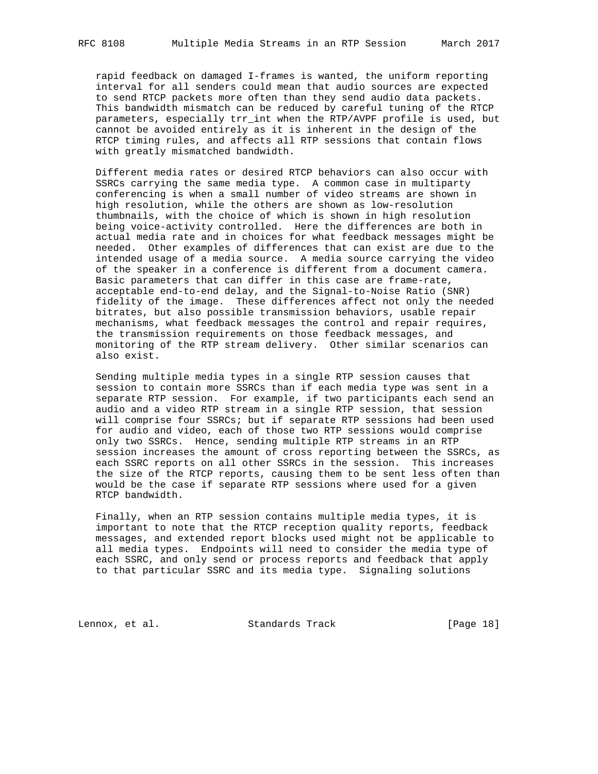rapid feedback on damaged I-frames is wanted, the uniform reporting interval for all senders could mean that audio sources are expected to send RTCP packets more often than they send audio data packets. This bandwidth mismatch can be reduced by careful tuning of the RTCP parameters, especially trr\_int when the RTP/AVPF profile is used, but cannot be avoided entirely as it is inherent in the design of the RTCP timing rules, and affects all RTP sessions that contain flows with greatly mismatched bandwidth.

 Different media rates or desired RTCP behaviors can also occur with SSRCs carrying the same media type. A common case in multiparty conferencing is when a small number of video streams are shown in high resolution, while the others are shown as low-resolution thumbnails, with the choice of which is shown in high resolution being voice-activity controlled. Here the differences are both in actual media rate and in choices for what feedback messages might be needed. Other examples of differences that can exist are due to the intended usage of a media source. A media source carrying the video of the speaker in a conference is different from a document camera. Basic parameters that can differ in this case are frame-rate, acceptable end-to-end delay, and the Signal-to-Noise Ratio (SNR) fidelity of the image. These differences affect not only the needed bitrates, but also possible transmission behaviors, usable repair mechanisms, what feedback messages the control and repair requires, the transmission requirements on those feedback messages, and monitoring of the RTP stream delivery. Other similar scenarios can also exist.

 Sending multiple media types in a single RTP session causes that session to contain more SSRCs than if each media type was sent in a separate RTP session. For example, if two participants each send an audio and a video RTP stream in a single RTP session, that session will comprise four SSRCs; but if separate RTP sessions had been used for audio and video, each of those two RTP sessions would comprise only two SSRCs. Hence, sending multiple RTP streams in an RTP session increases the amount of cross reporting between the SSRCs, as each SSRC reports on all other SSRCs in the session. This increases the size of the RTCP reports, causing them to be sent less often than would be the case if separate RTP sessions where used for a given RTCP bandwidth.

 Finally, when an RTP session contains multiple media types, it is important to note that the RTCP reception quality reports, feedback messages, and extended report blocks used might not be applicable to all media types. Endpoints will need to consider the media type of each SSRC, and only send or process reports and feedback that apply to that particular SSRC and its media type. Signaling solutions

Lennox, et al. Standards Track [Page 18]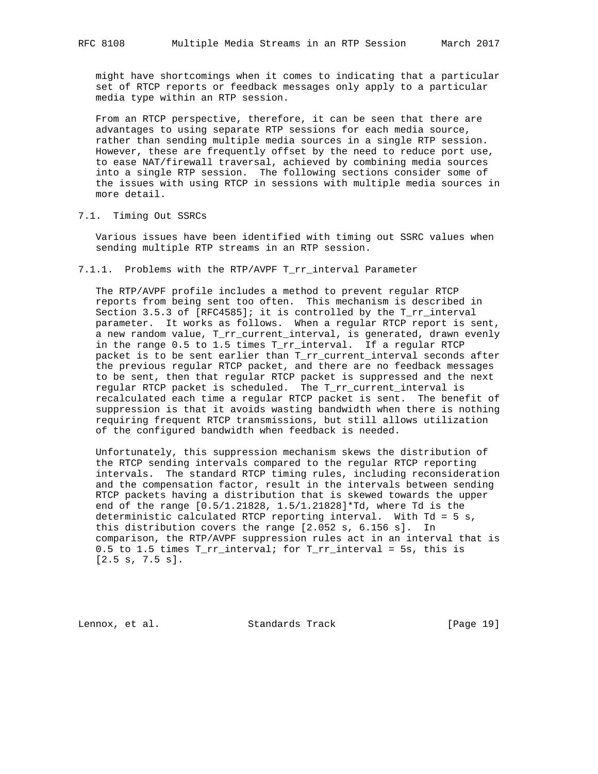might have shortcomings when it comes to indicating that a particular set of RTCP reports or feedback messages only apply to a particular media type within an RTP session.

 From an RTCP perspective, therefore, it can be seen that there are advantages to using separate RTP sessions for each media source, rather than sending multiple media sources in a single RTP session. However, these are frequently offset by the need to reduce port use, to ease NAT/firewall traversal, achieved by combining media sources into a single RTP session. The following sections consider some of the issues with using RTCP in sessions with multiple media sources in more detail.

## 7.1. Timing Out SSRCs

 Various issues have been identified with timing out SSRC values when sending multiple RTP streams in an RTP session.

#### 7.1.1. Problems with the RTP/AVPF T\_rr\_interval Parameter

 The RTP/AVPF profile includes a method to prevent regular RTCP reports from being sent too often. This mechanism is described in Section 3.5.3 of [RFC4585]; it is controlled by the T\_rr\_interval parameter. It works as follows. When a regular RTCP report is sent, a new random value, T\_rr\_current\_interval, is generated, drawn evenly in the range 0.5 to 1.5 times T\_rr\_interval. If a regular RTCP packet is to be sent earlier than T\_rr\_current\_interval seconds after the previous regular RTCP packet, and there are no feedback messages to be sent, then that regular RTCP packet is suppressed and the next regular RTCP packet is scheduled. The T\_rr\_current\_interval is recalculated each time a regular RTCP packet is sent. The benefit of suppression is that it avoids wasting bandwidth when there is nothing requiring frequent RTCP transmissions, but still allows utilization of the configured bandwidth when feedback is needed.

 Unfortunately, this suppression mechanism skews the distribution of the RTCP sending intervals compared to the regular RTCP reporting intervals. The standard RTCP timing rules, including reconsideration and the compensation factor, result in the intervals between sending RTCP packets having a distribution that is skewed towards the upper end of the range [0.5/1.21828, 1.5/1.21828]\*Td, where Td is the deterministic calculated RTCP reporting interval. With Td = 5 s, this distribution covers the range [2.052 s, 6.156 s]. In comparison, the RTP/AVPF suppression rules act in an interval that is 0.5 to 1.5 times T\_rr\_interval; for T\_rr\_interval = 5s, this is [2.5 s, 7.5 s].

Lennox, et al. Standards Track [Page 19]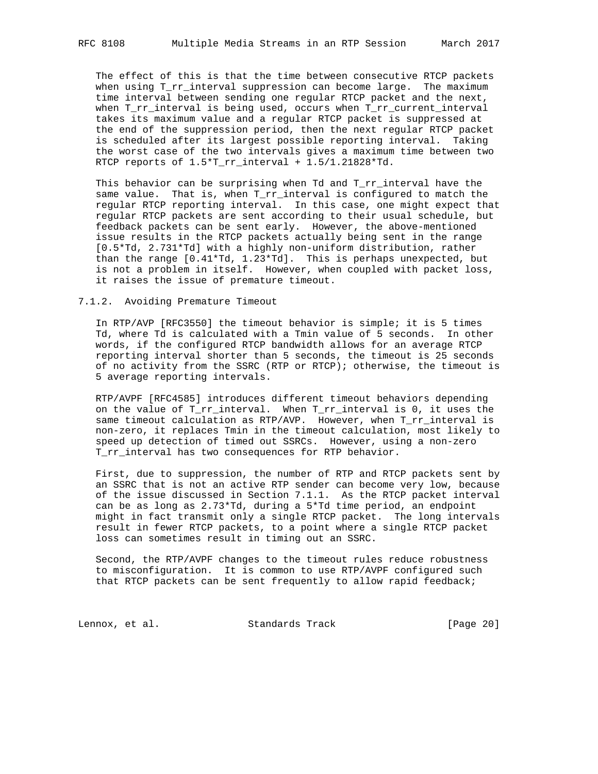The effect of this is that the time between consecutive RTCP packets when using T\_rr\_interval suppression can become large. The maximum time interval between sending one regular RTCP packet and the next, when T\_rr\_interval is being used, occurs when T\_rr\_current\_interval takes its maximum value and a regular RTCP packet is suppressed at the end of the suppression period, then the next regular RTCP packet is scheduled after its largest possible reporting interval. Taking the worst case of the two intervals gives a maximum time between two RTCP reports of 1.5\*T\_rr\_interval + 1.5/1.21828\*Td.

 This behavior can be surprising when Td and T\_rr\_interval have the same value. That is, when T\_rr\_interval is configured to match the regular RTCP reporting interval. In this case, one might expect that regular RTCP packets are sent according to their usual schedule, but feedback packets can be sent early. However, the above-mentioned issue results in the RTCP packets actually being sent in the range [0.5\*Td, 2.731\*Td] with a highly non-uniform distribution, rather than the range [0.41\*Td, 1.23\*Td]. This is perhaps unexpected, but is not a problem in itself. However, when coupled with packet loss, it raises the issue of premature timeout.

#### 7.1.2. Avoiding Premature Timeout

 In RTP/AVP [RFC3550] the timeout behavior is simple; it is 5 times Td, where Td is calculated with a Tmin value of 5 seconds. In other words, if the configured RTCP bandwidth allows for an average RTCP reporting interval shorter than 5 seconds, the timeout is 25 seconds of no activity from the SSRC (RTP or RTCP); otherwise, the timeout is 5 average reporting intervals.

 RTP/AVPF [RFC4585] introduces different timeout behaviors depending on the value of T\_rr\_interval. When T\_rr\_interval is 0, it uses the same timeout calculation as RTP/AVP. However, when T\_rr\_interval is non-zero, it replaces Tmin in the timeout calculation, most likely to speed up detection of timed out SSRCs. However, using a non-zero T\_rr\_interval has two consequences for RTP behavior.

 First, due to suppression, the number of RTP and RTCP packets sent by an SSRC that is not an active RTP sender can become very low, because of the issue discussed in Section 7.1.1. As the RTCP packet interval can be as long as 2.73\*Td, during a 5\*Td time period, an endpoint might in fact transmit only a single RTCP packet. The long intervals result in fewer RTCP packets, to a point where a single RTCP packet loss can sometimes result in timing out an SSRC.

 Second, the RTP/AVPF changes to the timeout rules reduce robustness to misconfiguration. It is common to use RTP/AVPF configured such that RTCP packets can be sent frequently to allow rapid feedback;

Lennox, et al. Standards Track [Page 20]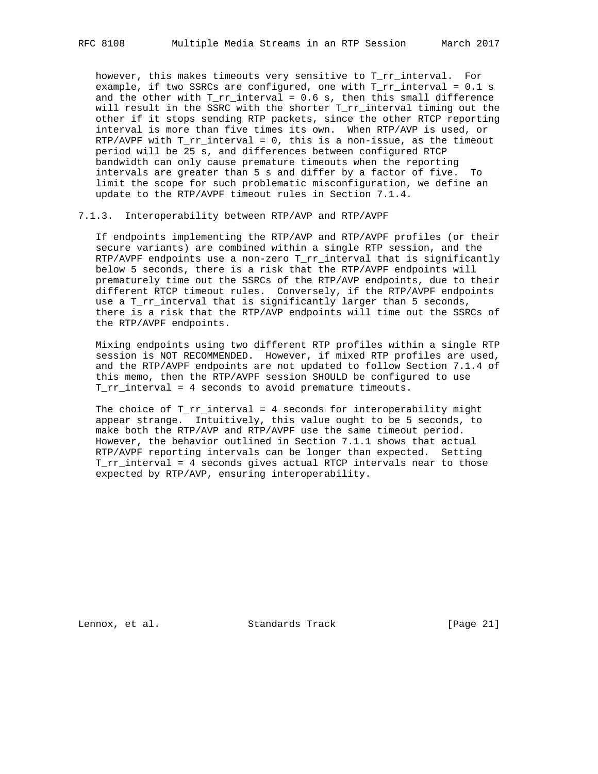however, this makes timeouts very sensitive to T\_rr\_interval. For example, if two SSRCs are configured, one with T\_rr\_interval = 0.1 s and the other with  $T_r$  interval = 0.6 s, then this small difference will result in the SSRC with the shorter T\_rr\_interval timing out the other if it stops sending RTP packets, since the other RTCP reporting interval is more than five times its own. When RTP/AVP is used, or RTP/AVPF with T\_rr\_interval = 0, this is a non-issue, as the timeout period will be 25 s, and differences between configured RTCP bandwidth can only cause premature timeouts when the reporting intervals are greater than 5 s and differ by a factor of five. To limit the scope for such problematic misconfiguration, we define an update to the RTP/AVPF timeout rules in Section 7.1.4.

7.1.3. Interoperability between RTP/AVP and RTP/AVPF

 If endpoints implementing the RTP/AVP and RTP/AVPF profiles (or their secure variants) are combined within a single RTP session, and the RTP/AVPF endpoints use a non-zero  $T_r$ rr\_interval that is significantly below 5 seconds, there is a risk that the RTP/AVPF endpoints will prematurely time out the SSRCs of the RTP/AVP endpoints, due to their different RTCP timeout rules. Conversely, if the RTP/AVPF endpoints use a T\_rr\_interval that is significantly larger than 5 seconds, there is a risk that the RTP/AVP endpoints will time out the SSRCs of the RTP/AVPF endpoints.

 Mixing endpoints using two different RTP profiles within a single RTP session is NOT RECOMMENDED. However, if mixed RTP profiles are used, and the RTP/AVPF endpoints are not updated to follow Section 7.1.4 of this memo, then the RTP/AVPF session SHOULD be configured to use T\_rr\_interval = 4 seconds to avoid premature timeouts.

The choice of  $T_r$ rr\_interval = 4 seconds for interoperability might appear strange. Intuitively, this value ought to be 5 seconds, to make both the RTP/AVP and RTP/AVPF use the same timeout period. However, the behavior outlined in Section 7.1.1 shows that actual RTP/AVPF reporting intervals can be longer than expected. Setting T\_rr\_interval = 4 seconds gives actual RTCP intervals near to those expected by RTP/AVP, ensuring interoperability.

Lennox, et al. Standards Track [Page 21]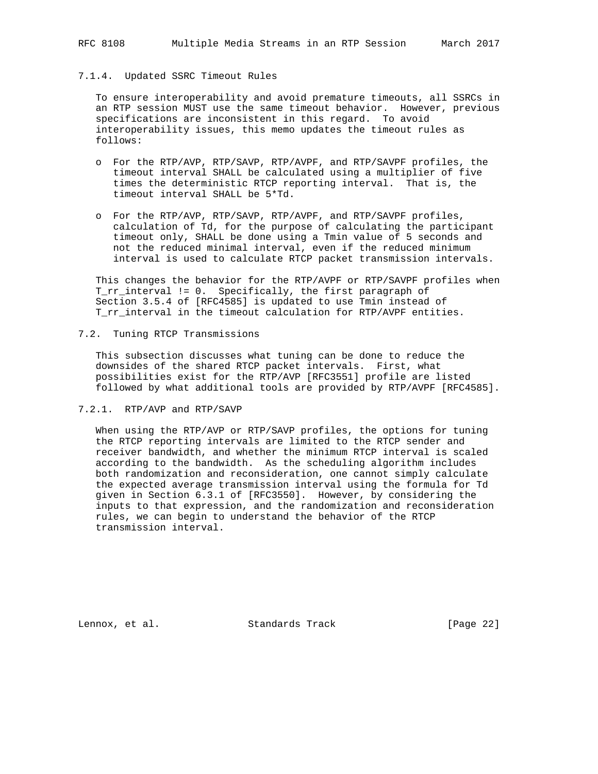## 7.1.4. Updated SSRC Timeout Rules

 To ensure interoperability and avoid premature timeouts, all SSRCs in an RTP session MUST use the same timeout behavior. However, previous specifications are inconsistent in this regard. To avoid interoperability issues, this memo updates the timeout rules as follows:

- o For the RTP/AVP, RTP/SAVP, RTP/AVPF, and RTP/SAVPF profiles, the timeout interval SHALL be calculated using a multiplier of five times the deterministic RTCP reporting interval. That is, the timeout interval SHALL be 5\*Td.
- o For the RTP/AVP, RTP/SAVP, RTP/AVPF, and RTP/SAVPF profiles, calculation of Td, for the purpose of calculating the participant timeout only, SHALL be done using a Tmin value of 5 seconds and not the reduced minimal interval, even if the reduced minimum interval is used to calculate RTCP packet transmission intervals.

 This changes the behavior for the RTP/AVPF or RTP/SAVPF profiles when T\_rr\_interval != 0. Specifically, the first paragraph of Section 3.5.4 of [RFC4585] is updated to use Tmin instead of T\_rr\_interval in the timeout calculation for RTP/AVPF entities.

## 7.2. Tuning RTCP Transmissions

 This subsection discusses what tuning can be done to reduce the downsides of the shared RTCP packet intervals. First, what possibilities exist for the RTP/AVP [RFC3551] profile are listed followed by what additional tools are provided by RTP/AVPF [RFC4585].

#### 7.2.1. RTP/AVP and RTP/SAVP

 When using the RTP/AVP or RTP/SAVP profiles, the options for tuning the RTCP reporting intervals are limited to the RTCP sender and receiver bandwidth, and whether the minimum RTCP interval is scaled according to the bandwidth. As the scheduling algorithm includes both randomization and reconsideration, one cannot simply calculate the expected average transmission interval using the formula for Td given in Section 6.3.1 of [RFC3550]. However, by considering the inputs to that expression, and the randomization and reconsideration rules, we can begin to understand the behavior of the RTCP transmission interval.

Lennox, et al. Standards Track [Page 22]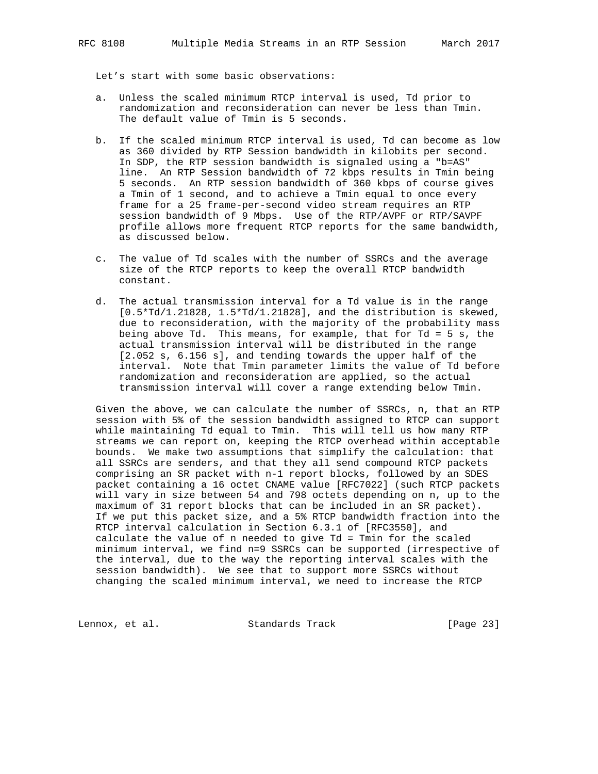Let's start with some basic observations:

- a. Unless the scaled minimum RTCP interval is used, Td prior to randomization and reconsideration can never be less than Tmin. The default value of Tmin is 5 seconds.
- b. If the scaled minimum RTCP interval is used, Td can become as low as 360 divided by RTP Session bandwidth in kilobits per second. In SDP, the RTP session bandwidth is signaled using a "b=AS" line. An RTP Session bandwidth of 72 kbps results in Tmin being 5 seconds. An RTP session bandwidth of 360 kbps of course gives a Tmin of 1 second, and to achieve a Tmin equal to once every frame for a 25 frame-per-second video stream requires an RTP session bandwidth of 9 Mbps. Use of the RTP/AVPF or RTP/SAVPF profile allows more frequent RTCP reports for the same bandwidth, as discussed below.
- c. The value of Td scales with the number of SSRCs and the average size of the RTCP reports to keep the overall RTCP bandwidth constant.
- d. The actual transmission interval for a Td value is in the range [0.5\*Td/1.21828, 1.5\*Td/1.21828], and the distribution is skewed, due to reconsideration, with the majority of the probability mass being above Td. This means, for example, that for Td = 5 s, the actual transmission interval will be distributed in the range [2.052 s, 6.156 s], and tending towards the upper half of the interval. Note that Tmin parameter limits the value of Td before randomization and reconsideration are applied, so the actual transmission interval will cover a range extending below Tmin.

 Given the above, we can calculate the number of SSRCs, n, that an RTP session with 5% of the session bandwidth assigned to RTCP can support while maintaining Td equal to Tmin. This will tell us how many RTP streams we can report on, keeping the RTCP overhead within acceptable bounds. We make two assumptions that simplify the calculation: that all SSRCs are senders, and that they all send compound RTCP packets comprising an SR packet with n-1 report blocks, followed by an SDES packet containing a 16 octet CNAME value [RFC7022] (such RTCP packets will vary in size between 54 and 798 octets depending on n, up to the maximum of 31 report blocks that can be included in an SR packet). If we put this packet size, and a 5% RTCP bandwidth fraction into the RTCP interval calculation in Section 6.3.1 of [RFC3550], and calculate the value of n needed to give Td = Tmin for the scaled minimum interval, we find n=9 SSRCs can be supported (irrespective of the interval, due to the way the reporting interval scales with the session bandwidth). We see that to support more SSRCs without changing the scaled minimum interval, we need to increase the RTCP

Lennox, et al. Standards Track [Page 23]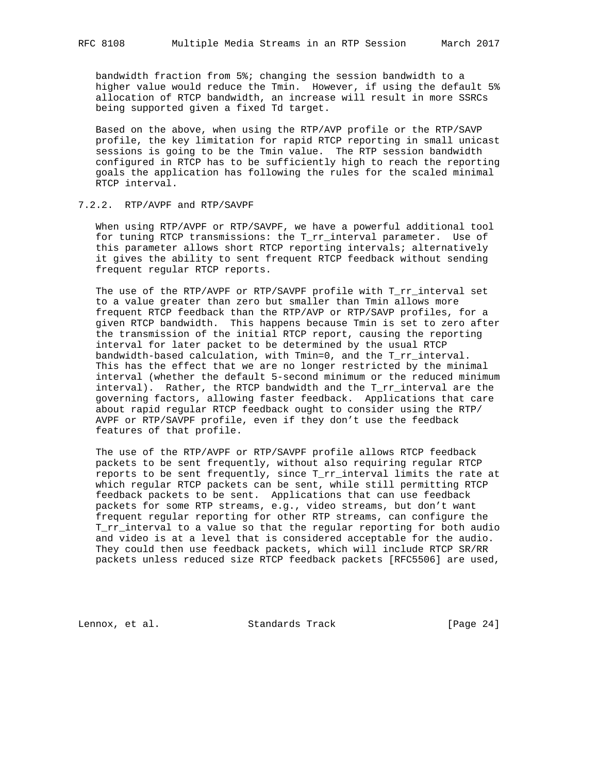bandwidth fraction from 5%; changing the session bandwidth to a higher value would reduce the Tmin. However, if using the default 5% allocation of RTCP bandwidth, an increase will result in more SSRCs being supported given a fixed Td target.

 Based on the above, when using the RTP/AVP profile or the RTP/SAVP profile, the key limitation for rapid RTCP reporting in small unicast sessions is going to be the Tmin value. The RTP session bandwidth configured in RTCP has to be sufficiently high to reach the reporting goals the application has following the rules for the scaled minimal RTCP interval.

## 7.2.2. RTP/AVPF and RTP/SAVPF

 When using RTP/AVPF or RTP/SAVPF, we have a powerful additional tool for tuning RTCP transmissions: the T\_rr\_interval parameter. Use of this parameter allows short RTCP reporting intervals; alternatively it gives the ability to sent frequent RTCP feedback without sending frequent regular RTCP reports.

The use of the RTP/AVPF or RTP/SAVPF profile with T\_rr\_interval set to a value greater than zero but smaller than Tmin allows more frequent RTCP feedback than the RTP/AVP or RTP/SAVP profiles, for a given RTCP bandwidth. This happens because Tmin is set to zero after the transmission of the initial RTCP report, causing the reporting interval for later packet to be determined by the usual RTCP bandwidth-based calculation, with Tmin=0, and the T\_rr\_interval. This has the effect that we are no longer restricted by the minimal interval (whether the default 5-second minimum or the reduced minimum interval). Rather, the RTCP bandwidth and the T\_rr\_interval are the governing factors, allowing faster feedback. Applications that care about rapid regular RTCP feedback ought to consider using the RTP/ AVPF or RTP/SAVPF profile, even if they don't use the feedback features of that profile.

 The use of the RTP/AVPF or RTP/SAVPF profile allows RTCP feedback packets to be sent frequently, without also requiring regular RTCP reports to be sent frequently, since T\_rr\_interval limits the rate at which regular RTCP packets can be sent, while still permitting RTCP feedback packets to be sent. Applications that can use feedback packets for some RTP streams, e.g., video streams, but don't want frequent regular reporting for other RTP streams, can configure the T\_rr\_interval to a value so that the regular reporting for both audio and video is at a level that is considered acceptable for the audio. They could then use feedback packets, which will include RTCP SR/RR packets unless reduced size RTCP feedback packets [RFC5506] are used,

Lennox, et al. Standards Track [Page 24]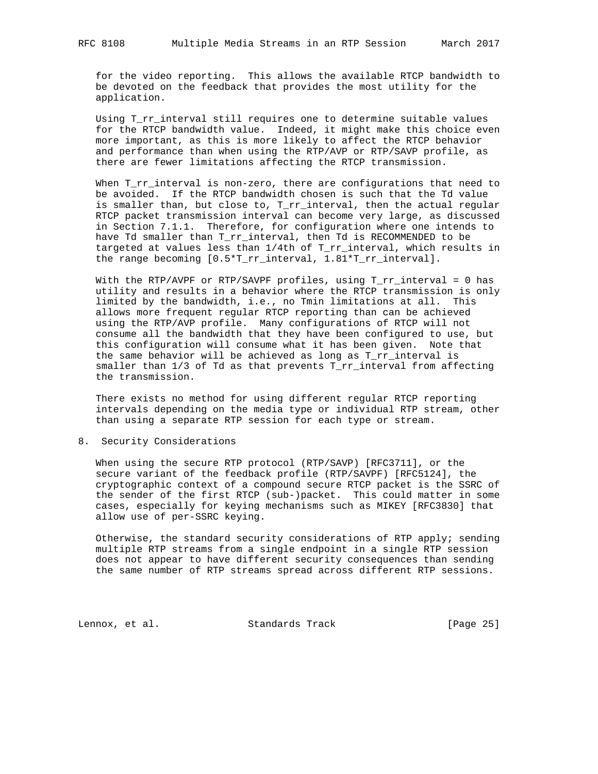for the video reporting. This allows the available RTCP bandwidth to be devoted on the feedback that provides the most utility for the application.

 Using T\_rr\_interval still requires one to determine suitable values for the RTCP bandwidth value. Indeed, it might make this choice even more important, as this is more likely to affect the RTCP behavior and performance than when using the RTP/AVP or RTP/SAVP profile, as there are fewer limitations affecting the RTCP transmission.

When T\_rr\_interval is non-zero, there are configurations that need to be avoided. If the RTCP bandwidth chosen is such that the Td value is smaller than, but close to, T\_rr\_interval, then the actual regular RTCP packet transmission interval can become very large, as discussed in Section 7.1.1. Therefore, for configuration where one intends to have Td smaller than T\_rr\_interval, then Td is RECOMMENDED to be targeted at values less than 1/4th of T\_rr\_interval, which results in the range becoming [0.5\*T\_rr\_interval, 1.81\*T\_rr\_interval].

With the RTP/AVPF or RTP/SAVPF profiles, using  $T\_rr\_interval = 0$  has utility and results in a behavior where the RTCP transmission is only limited by the bandwidth, i.e., no Tmin limitations at all. This allows more frequent regular RTCP reporting than can be achieved using the RTP/AVP profile. Many configurations of RTCP will not consume all the bandwidth that they have been configured to use, but this configuration will consume what it has been given. Note that the same behavior will be achieved as long as T\_rr\_interval is smaller than 1/3 of Td as that prevents T\_rr\_interval from affecting the transmission.

 There exists no method for using different regular RTCP reporting intervals depending on the media type or individual RTP stream, other than using a separate RTP session for each type or stream.

8. Security Considerations

 When using the secure RTP protocol (RTP/SAVP) [RFC3711], or the secure variant of the feedback profile (RTP/SAVPF) [RFC5124], the cryptographic context of a compound secure RTCP packet is the SSRC of the sender of the first RTCP (sub-)packet. This could matter in some cases, especially for keying mechanisms such as MIKEY [RFC3830] that allow use of per-SSRC keying.

 Otherwise, the standard security considerations of RTP apply; sending multiple RTP streams from a single endpoint in a single RTP session does not appear to have different security consequences than sending the same number of RTP streams spread across different RTP sessions.

Lennox, et al. Standards Track [Page 25]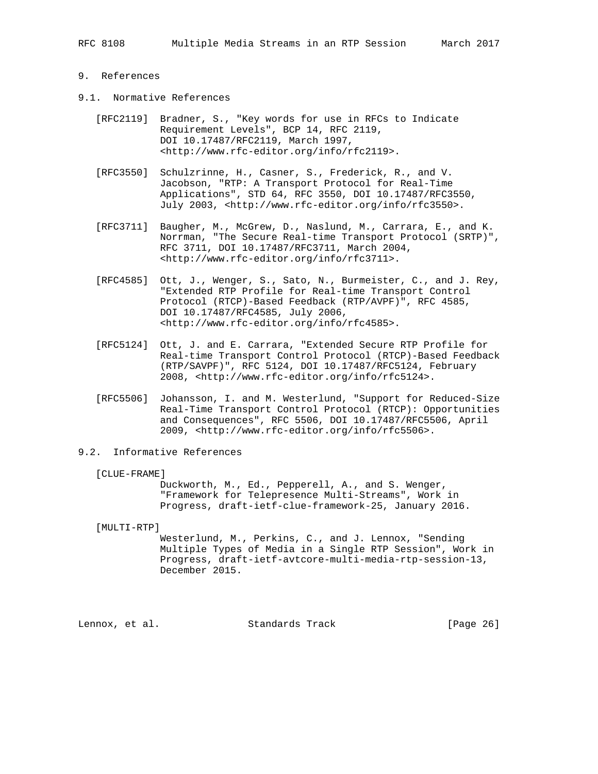- 9. References
- 9.1. Normative References
	- [RFC2119] Bradner, S., "Key words for use in RFCs to Indicate Requirement Levels", BCP 14, RFC 2119, DOI 10.17487/RFC2119, March 1997, <http://www.rfc-editor.org/info/rfc2119>.
	- [RFC3550] Schulzrinne, H., Casner, S., Frederick, R., and V. Jacobson, "RTP: A Transport Protocol for Real-Time Applications", STD 64, RFC 3550, DOI 10.17487/RFC3550, July 2003, <http://www.rfc-editor.org/info/rfc3550>.
	- [RFC3711] Baugher, M., McGrew, D., Naslund, M., Carrara, E., and K. Norrman, "The Secure Real-time Transport Protocol (SRTP)", RFC 3711, DOI 10.17487/RFC3711, March 2004, <http://www.rfc-editor.org/info/rfc3711>.
	- [RFC4585] Ott, J., Wenger, S., Sato, N., Burmeister, C., and J. Rey, "Extended RTP Profile for Real-time Transport Control Protocol (RTCP)-Based Feedback (RTP/AVPF)", RFC 4585, DOI 10.17487/RFC4585, July 2006, <http://www.rfc-editor.org/info/rfc4585>.
	- [RFC5124] Ott, J. and E. Carrara, "Extended Secure RTP Profile for Real-time Transport Control Protocol (RTCP)-Based Feedback (RTP/SAVPF)", RFC 5124, DOI 10.17487/RFC5124, February 2008, <http://www.rfc-editor.org/info/rfc5124>.
	- [RFC5506] Johansson, I. and M. Westerlund, "Support for Reduced-Size Real-Time Transport Control Protocol (RTCP): Opportunities and Consequences", RFC 5506, DOI 10.17487/RFC5506, April 2009, <http://www.rfc-editor.org/info/rfc5506>.
- 9.2. Informative References

#### [CLUE-FRAME]

 Duckworth, M., Ed., Pepperell, A., and S. Wenger, "Framework for Telepresence Multi-Streams", Work in Progress, draft-ietf-clue-framework-25, January 2016.

[MULTI-RTP]

 Westerlund, M., Perkins, C., and J. Lennox, "Sending Multiple Types of Media in a Single RTP Session", Work in Progress, draft-ietf-avtcore-multi-media-rtp-session-13, December 2015.

Lennox, et al. Standards Track [Page 26]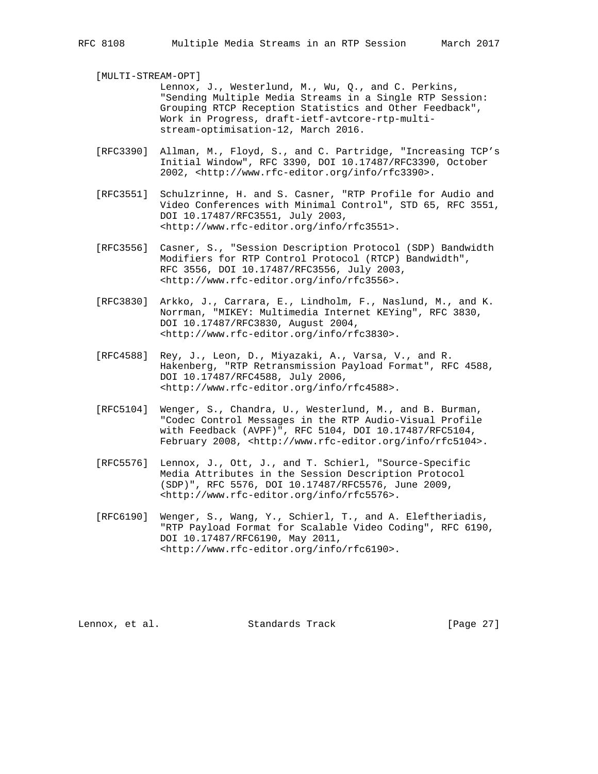[MULTI-STREAM-OPT]

 Lennox, J., Westerlund, M., Wu, Q., and C. Perkins, "Sending Multiple Media Streams in a Single RTP Session: Grouping RTCP Reception Statistics and Other Feedback", Work in Progress, draft-ietf-avtcore-rtp-multi stream-optimisation-12, March 2016.

- [RFC3390] Allman, M., Floyd, S., and C. Partridge, "Increasing TCP's Initial Window", RFC 3390, DOI 10.17487/RFC3390, October 2002, <http://www.rfc-editor.org/info/rfc3390>.
- [RFC3551] Schulzrinne, H. and S. Casner, "RTP Profile for Audio and Video Conferences with Minimal Control", STD 65, RFC 3551, DOI 10.17487/RFC3551, July 2003, <http://www.rfc-editor.org/info/rfc3551>.
- [RFC3556] Casner, S., "Session Description Protocol (SDP) Bandwidth Modifiers for RTP Control Protocol (RTCP) Bandwidth", RFC 3556, DOI 10.17487/RFC3556, July 2003, <http://www.rfc-editor.org/info/rfc3556>.
- [RFC3830] Arkko, J., Carrara, E., Lindholm, F., Naslund, M., and K. Norrman, "MIKEY: Multimedia Internet KEYing", RFC 3830, DOI 10.17487/RFC3830, August 2004, <http://www.rfc-editor.org/info/rfc3830>.
- [RFC4588] Rey, J., Leon, D., Miyazaki, A., Varsa, V., and R. Hakenberg, "RTP Retransmission Payload Format", RFC 4588, DOI 10.17487/RFC4588, July 2006, <http://www.rfc-editor.org/info/rfc4588>.
- [RFC5104] Wenger, S., Chandra, U., Westerlund, M., and B. Burman, "Codec Control Messages in the RTP Audio-Visual Profile with Feedback (AVPF)", RFC 5104, DOI 10.17487/RFC5104, February 2008, <http://www.rfc-editor.org/info/rfc5104>.
- [RFC5576] Lennox, J., Ott, J., and T. Schierl, "Source-Specific Media Attributes in the Session Description Protocol (SDP)", RFC 5576, DOI 10.17487/RFC5576, June 2009, <http://www.rfc-editor.org/info/rfc5576>.
- [RFC6190] Wenger, S., Wang, Y., Schierl, T., and A. Eleftheriadis, "RTP Payload Format for Scalable Video Coding", RFC 6190, DOI 10.17487/RFC6190, May 2011, <http://www.rfc-editor.org/info/rfc6190>.

Lennox, et al. Standards Track [Page 27]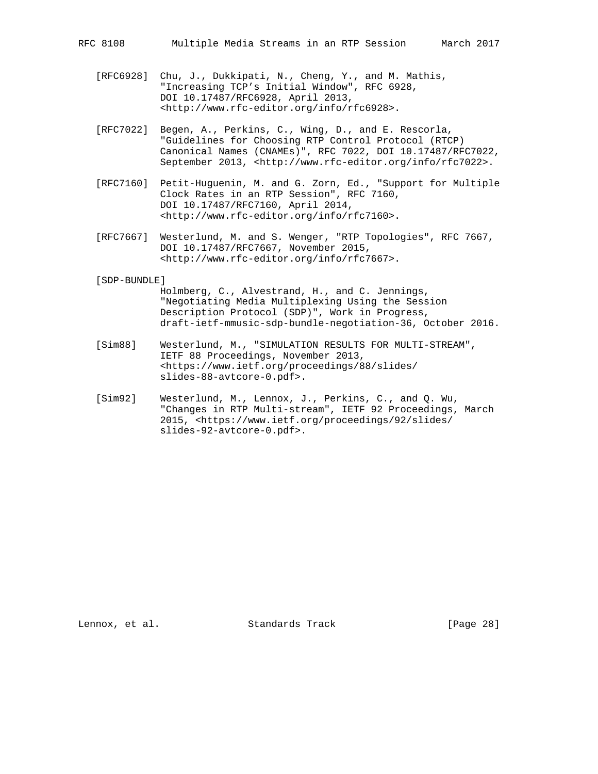- [RFC6928] Chu, J., Dukkipati, N., Cheng, Y., and M. Mathis, "Increasing TCP's Initial Window", RFC 6928, DOI 10.17487/RFC6928, April 2013, <http://www.rfc-editor.org/info/rfc6928>.
- [RFC7022] Begen, A., Perkins, C., Wing, D., and E. Rescorla, "Guidelines for Choosing RTP Control Protocol (RTCP) Canonical Names (CNAMEs)", RFC 7022, DOI 10.17487/RFC7022, September 2013, <http://www.rfc-editor.org/info/rfc7022>.
- [RFC7160] Petit-Huguenin, M. and G. Zorn, Ed., "Support for Multiple Clock Rates in an RTP Session", RFC 7160, DOI 10.17487/RFC7160, April 2014, <http://www.rfc-editor.org/info/rfc7160>.
- [RFC7667] Westerlund, M. and S. Wenger, "RTP Topologies", RFC 7667, DOI 10.17487/RFC7667, November 2015, <http://www.rfc-editor.org/info/rfc7667>.

#### [SDP-BUNDLE]

- Holmberg, C., Alvestrand, H., and C. Jennings, "Negotiating Media Multiplexing Using the Session Description Protocol (SDP)", Work in Progress, draft-ietf-mmusic-sdp-bundle-negotiation-36, October 2016.
- [Sim88] Westerlund, M., "SIMULATION RESULTS FOR MULTI-STREAM", IETF 88 Proceedings, November 2013, <https://www.ietf.org/proceedings/88/slides/ slides-88-avtcore-0.pdf>.
- [Sim92] Westerlund, M., Lennox, J., Perkins, C., and Q. Wu, "Changes in RTP Multi-stream", IETF 92 Proceedings, March 2015, <https://www.ietf.org/proceedings/92/slides/ slides-92-avtcore-0.pdf>.

Lennox, et al. Standards Track [Page 28]